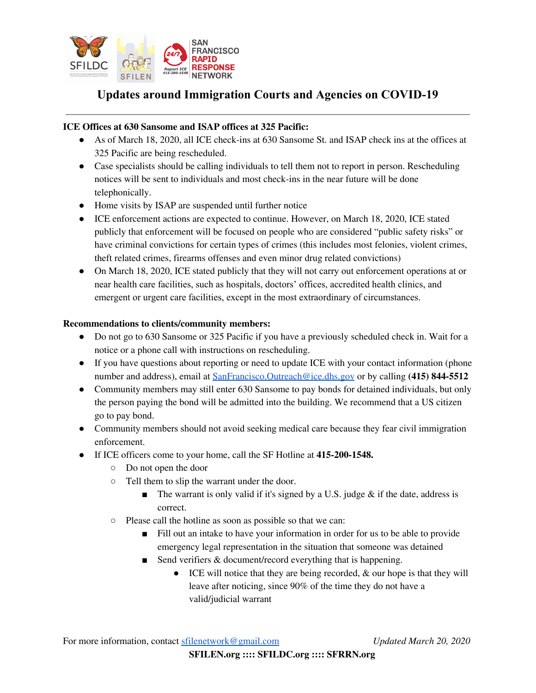

# **Updates around Immigration Courts and Agencies on COVID-19**

## **ICE Offices at 630 Sansome and ISAP offices at 325 Pacific:**

- As of March 18, 2020, all ICE check-ins at 630 Sansome St. and ISAP check ins at the offices at 325 Pacific are being rescheduled.
- Case specialists should be calling individuals to tell them not to report in person. Rescheduling notices will be sent to individuals and most check-ins in the near future will be done telephonically.
- Home visits by ISAP are suspended until further notice
- ICE enforcement actions are expected to continue. However, on March 18, 2020, ICE stated publicly that enforcement will be focused on people who are considered "public safety risks" or have criminal convictions for certain types of crimes (this includes most felonies, violent crimes, theft related crimes, firearms offenses and even minor drug related convictions)
- On March 18, 2020, ICE stated publicly that they will not carry out enforcement operations at or near health care facilities, such as hospitals, doctors' offices, accredited health clinics, and emergent or urgent care facilities, except in the most extraordinary of circumstances.

### **Recommendations to clients/community members:**

- Do not go to 630 Sansome or 325 Pacific if you have a previously scheduled check in. Wait for a notice or a phone call with instructions on rescheduling.
- If you have questions about reporting or need to update ICE with your contact information (phone number and address), email at [SanFrancisco.Outreach@ice.dhs.gov](mailto:SanFrancisco.Outreach@ice.dhs.gov) or by calling **(415) 844-5512**
- Community members may still enter 630 Sansome to pay bonds for detained individuals, but only the person paying the bond will be admitted into the building. We recommend that a US citizen go to pay bond.
- Community members should not avoid seeking medical care because they fear civil immigration enforcement.
- If ICE officers come to your home, call the SF Hotline at **415-200-1548.**
	- Do not open the door
	- Tell them to slip the warrant under the door.
		- $\blacksquare$  The warrant is only valid if it's signed by a U.S. judge & if the date, address is correct.
	- Please call the hotline as soon as possible so that we can:
		- Fill out an intake to have your information in order for us to be able to provide emergency legal representation in the situation that someone was detained
		- Send verifiers & document/record everything that is happening.
			- ICE will notice that they are being recorded, & our hope is that they will leave after noticing, since 90% of the time they do not have a valid/judicial warrant